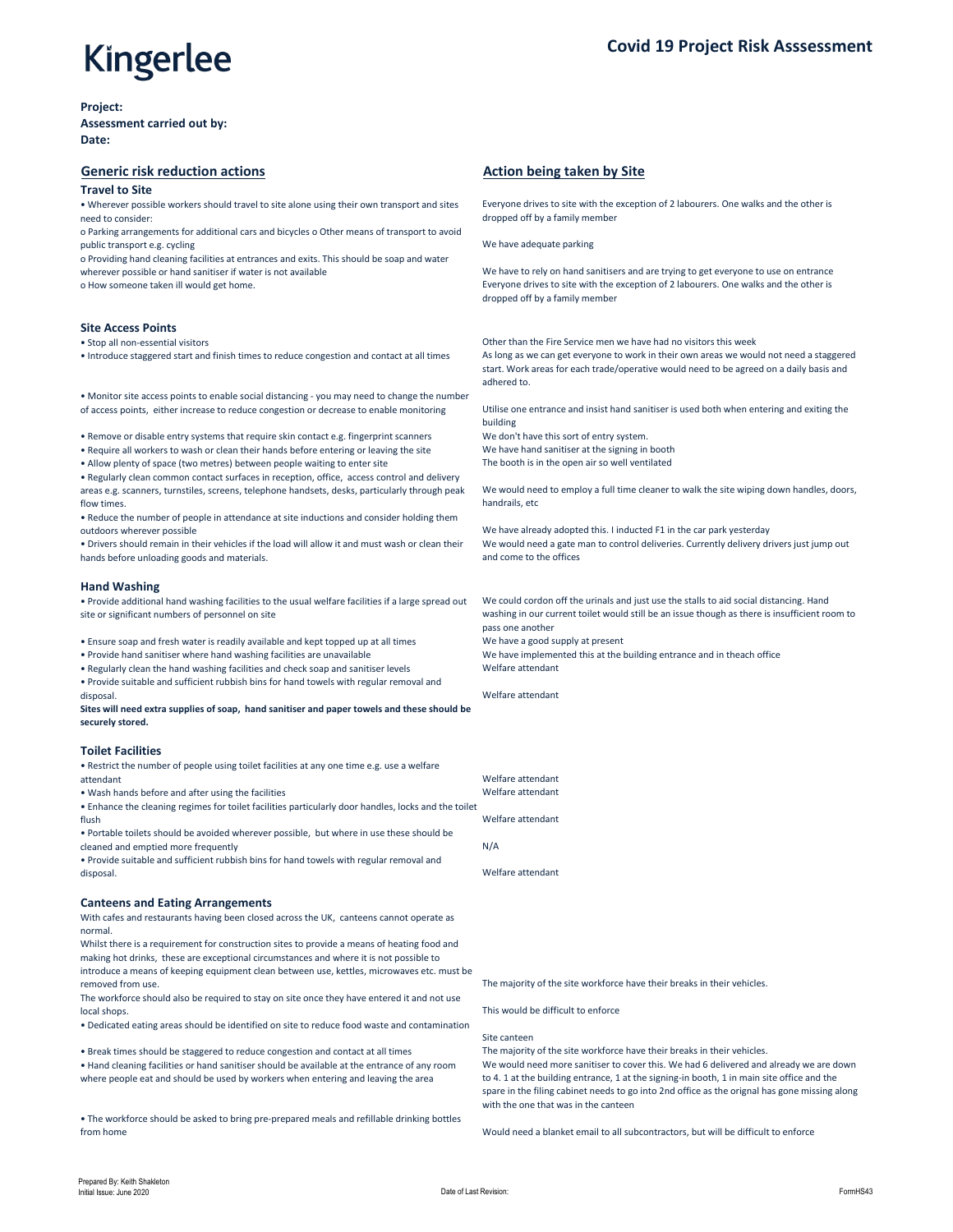

**Project:**

**Assessment carried out by: Date:**

## **Generic risk reduction actions Action being taken by Site** *Action being taken by Site*

#### **Travel to Site**

o Parking arrangements for additional cars and bicycles o Other means of transport to avoid public transport e.g. cycling  $\blacksquare$  and  $\blacksquare$  and  $\blacksquare$  we have adequate parking  $\blacksquare$ 

• Wherever possible workers should travel to site alone using their own transport and sites need to consider:

o Providing hand cleaning facilities at entrances and exits. This should be soap and water wherever possible or hand sanitiser if water is not available We have to rely on hand sanitisers and are trying to get everyone to use on entrance

Everyone drives to site with the exception of 2 labourers. One walks and the other is dropped off by a family member

o How someone taken ill would get home. Everyone drives to site with the exception of 2 labourers. One walks and the other is dropped off by a family member

• Stop all non-essential visitors **Other than the Fire Service men we have had no visitors this week** 

### **Site Access Points**

• Introduce staggered start and finish times to reduce congestion and contact at all times As long as we can get everyone to work in their own areas we would not need a staggered

start. Work areas for each trade/operative would need to be agreed on a daily basis and adhered to.

• Monitor site access points to enable social distancing - you may need to change the number of access points, either increase to reduce congestion or decrease to enable monitoring Utilise one entrance and insist hand sanitiser is used both when entering and exiting the

• Remove or disable entry systems that require skin contact e.g. fingerprint scanners We don't have this sort of entry system.

building

• Require all workers to wash or clean their hands before entering or leaving the site We have hand sanitiser at the signing in booth

• Allow plenty of space (two metres) between people waiting to enter site The booth is in the open air so well ventilated

- Wash hands before and after using the facilities **Welfare attendant**
- Enhance the cleaning regimes for toilet facilities particularly door handles, locks and the toilet
- flush Welfare attendant • Portable toilets should be avoided wherever possible, but where in use these should be

• Regularly clean common contact surfaces in reception, office, access control and delivery areas e.g. scanners, turnstiles, screens, telephone handsets, desks, particularly through peak flow times.

We would need to employ a full time cleaner to walk the site wiping down handles, doors, handrails, etc

• Reduce the number of people in attendance at site inductions and consider holding them outdoors wherever possible We have already adopted this. I inducted F1 in the car park yesterday

• Drivers should remain in their vehicles if the load will allow it and must wash or clean their hands before unloading goods and materials.

We would need a gate man to control deliveries. Currently delivery drivers just jump out and come to the offices

### **Hand Washing**

• Provide additional hand washing facilities to the usual welfare facilities if a large spread out site or significant numbers of personnel on site

- Ensure soap and fresh water is readily available and kept topped up at all times We have a good supply at present
- Provide hand sanitiser where hand washing facilities are unavailable We have implemented this at the building entrance and in theach office
- Regularly clean the hand washing facilities and check soap and sanitiser levels Welfare attendant

We could cordon off the urinals and just use the stalls to aid social distancing. Hand washing in our current toilet would still be an issue though as there is insufficient room to pass one another

cleaned and emptied more frequently  $N/A$ 

• Provide suitable and sufficient rubbish bins for hand towels with regular removal and disposal. Welfare attendant

**Sites will need extra supplies of soap, hand sanitiser and paper towels and these should be securely stored.**

### **Toilet Facilities**

• Restrict the number of people using toilet facilities at any one time e.g. use a welfare attendant Welfare attendant

• Provide suitable and sufficient rubbish bins for hand towels with regular removal and disposal. Welfare attendant

#### **Canteens and Eating Arrangements**

With cafes and restaurants having been closed across the UK, canteens cannot operate as normal.

Whilst there is a requirement for construction sites to provide a means of heating food and making hot drinks, these are exceptional circumstances and where it is not possible to introduce a means of keeping equipment clean between use, kettles, microwaves etc. must be removed from use. The majority of the site workforce have their breaks in their vehicles.

The workforce should also be required to stay on site once they have entered it and not use local shops. This would be difficult to enforce

• Dedicated eating areas should be identified on site to reduce food waste and contamination

• Break times should be staggered to reduce congestion and contact at all times The majority of the site workforce have their breaks in their vehicles.

#### Site canteen

• Hand cleaning facilities or hand sanitiser should be available at the entrance of any room where people eat and should be used by workers when entering and leaving the area

We would need more sanitiser to cover this. We had 6 delivered and already we are down to 4. 1 at the building entrance, 1 at the signing-in booth, 1 in main site office and the spare in the filing cabinet needs to go into 2nd office as the orignal has gone missing along with the one that was in the canteen

• The workforce should be asked to bring pre-prepared meals and refillable drinking bottles from home Would need a blanket email to all subcontractors, but will be difficult to enforce